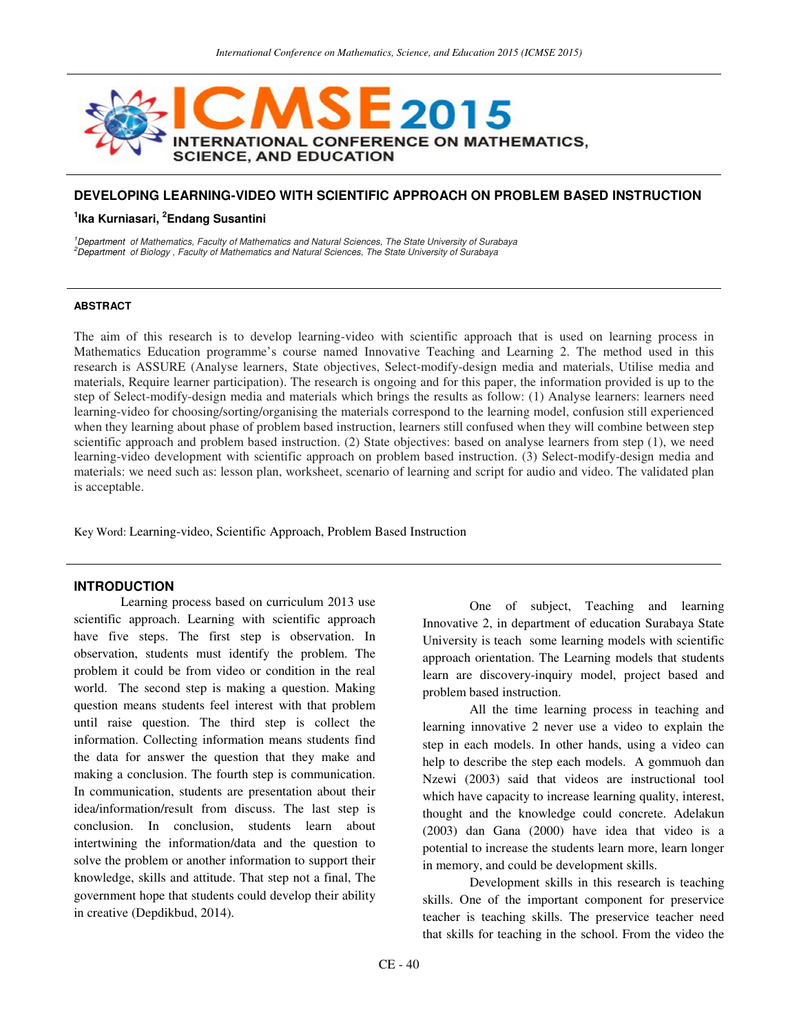

# **DEVELOPING LEARNING-VIDEO WITH SCIENTIFIC APPROACH ON PROBLEM BASED INSTRUCTION**

### **1 Ika Kurniasari, <sup>2</sup> Endang Susantini**

<sup>1</sup>Department of Mathematics, Faculty of Mathematics and Natural Sciences, The State University of Surabaya <sup>2</sup>Department of Biology , Faculty of Mathematics and Natural Sciences, The State University of Surabaya

#### **ABSTRACT**

The aim of this research is to develop learning-video with scientific approach that is used on learning process in Mathematics Education programme's course named Innovative Teaching and Learning 2. The method used in this research is ASSURE (Analyse learners, State objectives, Select-modify-design media and materials, Utilise media and materials, Require learner participation). The research is ongoing and for this paper, the information provided is up to the step of Select-modify-design media and materials which brings the results as follow: (1) Analyse learners: learners need learning-video for choosing/sorting/organising the materials correspond to the learning model, confusion still experienced when they learning about phase of problem based instruction, learners still confused when they will combine between step scientific approach and problem based instruction. (2) State objectives: based on analyse learners from step (1), we need learning-video development with scientific approach on problem based instruction. (3) Select-modify-design media and materials: we need such as: lesson plan, worksheet, scenario of learning and script for audio and video. The validated plan is acceptable.

Key Word: Learning-video, Scientific Approach, Problem Based Instruction

### **INTRODUCTION**

Learning process based on curriculum 2013 use scientific approach. Learning with scientific approach have five steps. The first step is observation. In observation, students must identify the problem. The problem it could be from video or condition in the real world. The second step is making a question. Making question means students feel interest with that problem until raise question. The third step is collect the information. Collecting information means students find the data for answer the question that they make and making a conclusion. The fourth step is communication. In communication, students are presentation about their idea/information/result from discuss. The last step is conclusion. In conclusion, students learn about intertwining the information/data and the question to solve the problem or another information to support their knowledge, skills and attitude. That step not a final, The government hope that students could develop their ability in creative (Depdikbud, 2014).

One of subject, Teaching and learning Innovative 2, in department of education Surabaya State University is teach some learning models with scientific approach orientation. The Learning models that students learn are discovery-inquiry model, project based and problem based instruction.

All the time learning process in teaching and learning innovative 2 never use a video to explain the step in each models. In other hands, using a video can help to describe the step each models. A gommuoh dan Nzewi (2003) said that videos are instructional tool which have capacity to increase learning quality, interest, thought and the knowledge could concrete. Adelakun (2003) dan Gana (2000) have idea that video is a potential to increase the students learn more, learn longer in memory, and could be development skills.

Development skills in this research is teaching skills. One of the important component for preservice teacher is teaching skills. The preservice teacher need that skills for teaching in the school. From the video the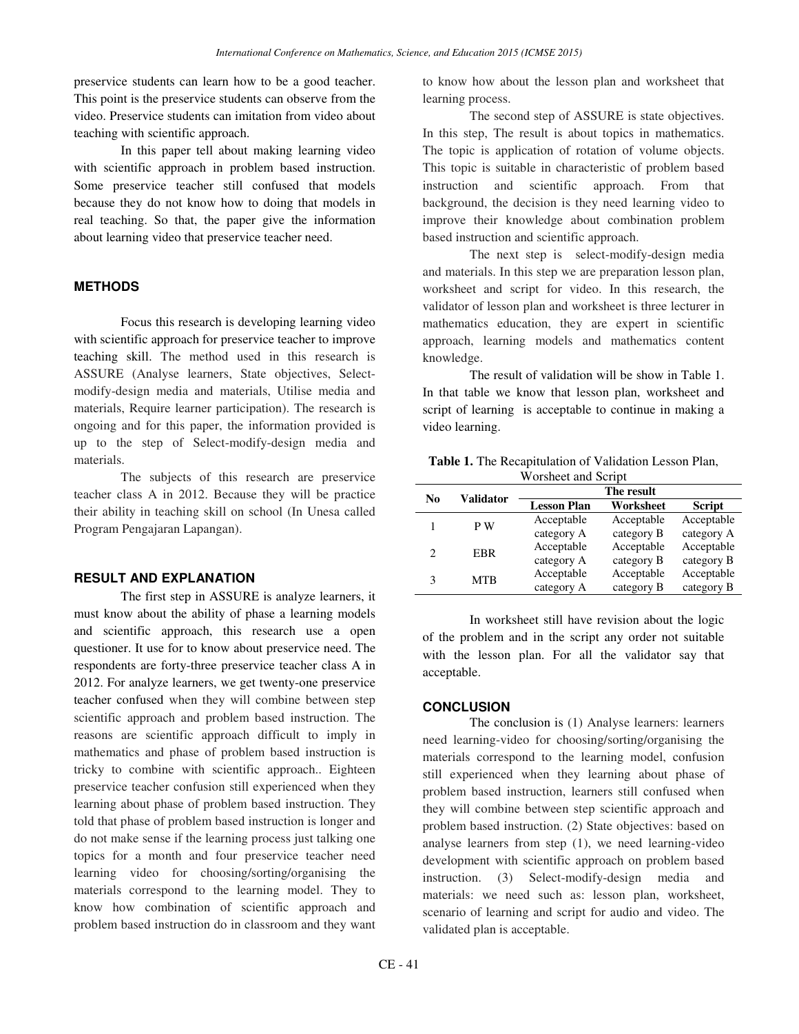preservice students can learn how to be a good teacher. This point is the preservice students can observe from the video. Preservice students can imitation from video about teaching with scientific approach.

In this paper tell about making learning video with scientific approach in problem based instruction. Some preservice teacher still confused that models because they do not know how to doing that models in real teaching. So that, the paper give the information about learning video that preservice teacher need.

#### **METHODS**

Focus this research is developing learning video with scientific approach for preservice teacher to improve teaching skill. The method used in this research is ASSURE (Analyse learners, State objectives, Selectmodify-design media and materials, Utilise media and materials, Require learner participation). The research is ongoing and for this paper, the information provided is up to the step of Select-modify-design media and materials.

The subjects of this research are preservice teacher class A in 2012. Because they will be practice their ability in teaching skill on school (In Unesa called Program Pengajaran Lapangan).

## **RESULT AND EXPLANATION**

The first step in ASSURE is analyze learners, it must know about the ability of phase a learning models and scientific approach, this research use a open questioner. It use for to know about preservice need. The respondents are forty-three preservice teacher class A in 2012. For analyze learners, we get twenty-one preservice teacher confused when they will combine between step scientific approach and problem based instruction. The reasons are scientific approach difficult to imply in mathematics and phase of problem based instruction is tricky to combine with scientific approach.. Eighteen preservice teacher confusion still experienced when they learning about phase of problem based instruction. They told that phase of problem based instruction is longer and do not make sense if the learning process just talking one topics for a month and four preservice teacher need learning video for choosing/sorting/organising the materials correspond to the learning model. They to know how combination of scientific approach and problem based instruction do in classroom and they want to know how about the lesson plan and worksheet that learning process.

The second step of ASSURE is state objectives. In this step, The result is about topics in mathematics. The topic is application of rotation of volume objects. This topic is suitable in characteristic of problem based instruction and scientific approach. From that background, the decision is they need learning video to improve their knowledge about combination problem based instruction and scientific approach.

The next step is select-modify-design media and materials. In this step we are preparation lesson plan, worksheet and script for video. In this research, the validator of lesson plan and worksheet is three lecturer in mathematics education, they are expert in scientific approach, learning models and mathematics content knowledge.

The result of validation will be show in Table 1. In that table we know that lesson plan, worksheet and script of learning is acceptable to continue in making a video learning.

| <b>Table 1.</b> The Recapitulation of Validation Lesson Plan, |  |
|---------------------------------------------------------------|--|
| Worsheet and Script                                           |  |

| No            | Validator  | The result         |            |               |  |
|---------------|------------|--------------------|------------|---------------|--|
|               |            | <b>Lesson Plan</b> | Worksheet  | <b>Script</b> |  |
|               | P W        | Acceptable         | Acceptable | Acceptable    |  |
|               |            | category A         | category B | category A    |  |
| $\mathcal{D}$ | EBR        | Acceptable         | Acceptable | Acceptable    |  |
|               |            | category A         | category B | category B    |  |
| 3             | <b>MTB</b> | Acceptable         | Acceptable | Acceptable    |  |
|               |            | category A         | category B | category B    |  |

In worksheet still have revision about the logic of the problem and in the script any order not suitable with the lesson plan. For all the validator say that acceptable.

#### **CONCLUSION**

The conclusion is (1) Analyse learners: learners need learning-video for choosing/sorting/organising the materials correspond to the learning model, confusion still experienced when they learning about phase of problem based instruction, learners still confused when they will combine between step scientific approach and problem based instruction. (2) State objectives: based on analyse learners from step (1), we need learning-video development with scientific approach on problem based instruction. (3) Select-modify-design media and materials: we need such as: lesson plan, worksheet, scenario of learning and script for audio and video. The validated plan is acceptable.